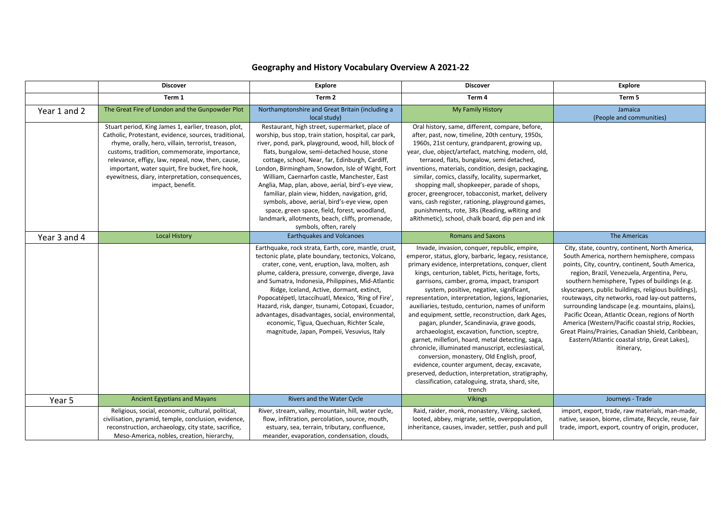|              | <b>Discover</b>                                                                                                                                                                                                                                                                                                                                                                                     | <b>Explore</b>                                                                                                                                                                                                                                                                                                                                                                                                                                                                                                                                                                                                                                              | <b>Discover</b>                                                                                                                                                                                                                                                                                                                                                                                                                                                                                                                                                                                                                                                                                                                                                                                                                                                                                             | <b>Explore</b>                                                                                                                                                                                                                                                                                                                                                                                                                                                                                                                                                                                                                                |
|--------------|-----------------------------------------------------------------------------------------------------------------------------------------------------------------------------------------------------------------------------------------------------------------------------------------------------------------------------------------------------------------------------------------------------|-------------------------------------------------------------------------------------------------------------------------------------------------------------------------------------------------------------------------------------------------------------------------------------------------------------------------------------------------------------------------------------------------------------------------------------------------------------------------------------------------------------------------------------------------------------------------------------------------------------------------------------------------------------|-------------------------------------------------------------------------------------------------------------------------------------------------------------------------------------------------------------------------------------------------------------------------------------------------------------------------------------------------------------------------------------------------------------------------------------------------------------------------------------------------------------------------------------------------------------------------------------------------------------------------------------------------------------------------------------------------------------------------------------------------------------------------------------------------------------------------------------------------------------------------------------------------------------|-----------------------------------------------------------------------------------------------------------------------------------------------------------------------------------------------------------------------------------------------------------------------------------------------------------------------------------------------------------------------------------------------------------------------------------------------------------------------------------------------------------------------------------------------------------------------------------------------------------------------------------------------|
|              | Term 1                                                                                                                                                                                                                                                                                                                                                                                              | Term 2                                                                                                                                                                                                                                                                                                                                                                                                                                                                                                                                                                                                                                                      | Term 4                                                                                                                                                                                                                                                                                                                                                                                                                                                                                                                                                                                                                                                                                                                                                                                                                                                                                                      | Term 5                                                                                                                                                                                                                                                                                                                                                                                                                                                                                                                                                                                                                                        |
| Year 1 and 2 | The Great Fire of London and the Gunpowder Plot                                                                                                                                                                                                                                                                                                                                                     | Northamptonshire and Great Britain (including a<br>local study)                                                                                                                                                                                                                                                                                                                                                                                                                                                                                                                                                                                             | My Family History                                                                                                                                                                                                                                                                                                                                                                                                                                                                                                                                                                                                                                                                                                                                                                                                                                                                                           | Jamaica<br>(People and communities)                                                                                                                                                                                                                                                                                                                                                                                                                                                                                                                                                                                                           |
|              | Stuart period, King James 1, earlier, treason, plot,<br>Catholic, Protestant, evidence, sources, traditional,<br>rhyme, orally, hero, villain, terrorist, treason,<br>customs, tradition, commemorate, importance,<br>relevance, effigy, law, repeal, now, then, cause,<br>important, water squirt, fire bucket, fire hook,<br>eyewitness, diary, interpretation, consequences,<br>impact, benefit. | Restaurant, high street, supermarket, place of<br>worship, bus stop, train station, hospital, car park,<br>river, pond, park, playground, wood, hill, block of<br>flats, bungalow, semi-detached house, stone<br>cottage, school, Near, far, Edinburgh, Cardiff,<br>London, Birmingham, Snowdon, Isle of Wight, Fort<br>William, Caernarfon castle, Manchester, East<br>Anglia, Map, plan, above, aerial, bird's-eye view,<br>familiar, plain view, hidden, navigation, grid,<br>symbols, above, aerial, bird's-eye view, open<br>space, green space, field, forest, woodland,<br>landmark, allotments, beach, cliffs, promenade,<br>symbols, often, rarely | Oral history, same, different, compare, before,<br>after, past, now, timeline, 20th century, 1950s,<br>1960s, 21st century, grandparent, growing up,<br>year, clue, object/artefact, matching, modern, old,<br>terraced, flats, bungalow, semi detached,<br>inventions, materials, condition, design, packaging,<br>similar, comics, classify, locality, supermarket,<br>shopping mall, shopkeeper, parade of shops,<br>grocer, greengrocer, tobacconist, market, delivery<br>vans, cash register, rationing, playground games,<br>punishments, rote, 3Rs (Reading, wRiting and<br>aRithmetic), school, chalk board, dip pen and ink                                                                                                                                                                                                                                                                        |                                                                                                                                                                                                                                                                                                                                                                                                                                                                                                                                                                                                                                               |
| Year 3 and 4 | <b>Local History</b>                                                                                                                                                                                                                                                                                                                                                                                | <b>Earthquakes and Volcanoes</b>                                                                                                                                                                                                                                                                                                                                                                                                                                                                                                                                                                                                                            | <b>Romans and Saxons</b>                                                                                                                                                                                                                                                                                                                                                                                                                                                                                                                                                                                                                                                                                                                                                                                                                                                                                    | The Americas                                                                                                                                                                                                                                                                                                                                                                                                                                                                                                                                                                                                                                  |
|              |                                                                                                                                                                                                                                                                                                                                                                                                     | Earthquake, rock strata, Earth, core, mantle, crust,<br>tectonic plate, plate boundary, tectonics, Volcano,<br>crater, cone, vent, eruption, lava, molten, ash<br>plume, caldera, pressure, converge, diverge, Java<br>and Sumatra, Indonesia, Philippines, Mid-Atlantic<br>Ridge, Iceland, Active, dormant, extinct,<br>Popocatépetl, Iztaccíhuatl, Mexico, 'Ring of Fire',<br>Hazard, risk, danger, tsunami, Cotopaxi, Ecuador,<br>advantages, disadvantages, social, environmental,<br>economic, Tigua, Quechuan, Richter Scale,<br>magnitude, Japan, Pompeii, Vesuvius, Italy                                                                           | Invade, invasion, conquer, republic, empire,<br>emperor, status, glory, barbaric, legacy, resistance,<br>primary evidence, interpretations, conquer, client<br>kings, centurion, tablet, Picts, heritage, forts,<br>garrisons, camber, groma, impact, transport<br>system, positive, negative, significant,<br>representation, interpretation, legions, legionaries,<br>auxiliaries, testudo, centurion, names of uniform<br>and equipment, settle, reconstruction, dark Ages,<br>pagan, plunder, Scandinavia, grave goods,<br>archaeologist, excavation, function, sceptre,<br>garnet, millefiori, hoard, metal detecting, saga,<br>chronicle, illuminated manuscript, ecclesiastical,<br>conversion, monastery, Old English, proof,<br>evidence, counter argument, decay, excavate,<br>preserved, deduction, interpretation, stratigraphy,<br>classification, cataloguing, strata, shard, site,<br>trench | City, state, country, continent, North America,<br>South America, northern hemisphere, compass<br>points, City, country, continent, South America,<br>region, Brazil, Venezuela, Argentina, Peru,<br>southern hemisphere, Types of buildings (e.g.<br>skyscrapers, public buildings, religious buildings),<br>routeways, city networks, road lay-out patterns,<br>surrounding landscape (e.g. mountains, plains),<br>Pacific Ocean, Atlantic Ocean, regions of North<br>America (Western/Pacific coastal strip, Rockies,<br>Great Plains/Prairies, Canadian Shield, Caribbean,<br>Eastern/Atlantic coastal strip, Great Lakes),<br>itinerary, |
| Year 5       | <b>Ancient Egyptians and Mayans</b>                                                                                                                                                                                                                                                                                                                                                                 | Rivers and the Water Cycle                                                                                                                                                                                                                                                                                                                                                                                                                                                                                                                                                                                                                                  | <b>Vikings</b>                                                                                                                                                                                                                                                                                                                                                                                                                                                                                                                                                                                                                                                                                                                                                                                                                                                                                              | Journeys - Trade                                                                                                                                                                                                                                                                                                                                                                                                                                                                                                                                                                                                                              |
|              | Religious, social, economic, cultural, political,<br>civilisation, pyramid, temple, conclusion, evidence,<br>reconstruction, archaeology, city state, sacrifice,<br>Meso-America, nobles, creation, hierarchy,                                                                                                                                                                                      | River, stream, valley, mountain, hill, water cycle,<br>flow, infiltration, percolation, source, mouth,<br>estuary, sea, terrain, tributary, confluence,<br>meander, evaporation, condensation, clouds,                                                                                                                                                                                                                                                                                                                                                                                                                                                      | Raid, raider, monk, monastery, Viking, sacked,<br>looted, abbey, migrate, settle, overpopulation,<br>inheritance, causes, invader, settler, push and pull                                                                                                                                                                                                                                                                                                                                                                                                                                                                                                                                                                                                                                                                                                                                                   | import, export, trade, raw materials, man-made,<br>native, season, biome, climate, Recycle, reuse, fair<br>trade, import, export, country of origin, producer,                                                                                                                                                                                                                                                                                                                                                                                                                                                                                |

## **Geography and History Vocabulary Overview A 2021-22**